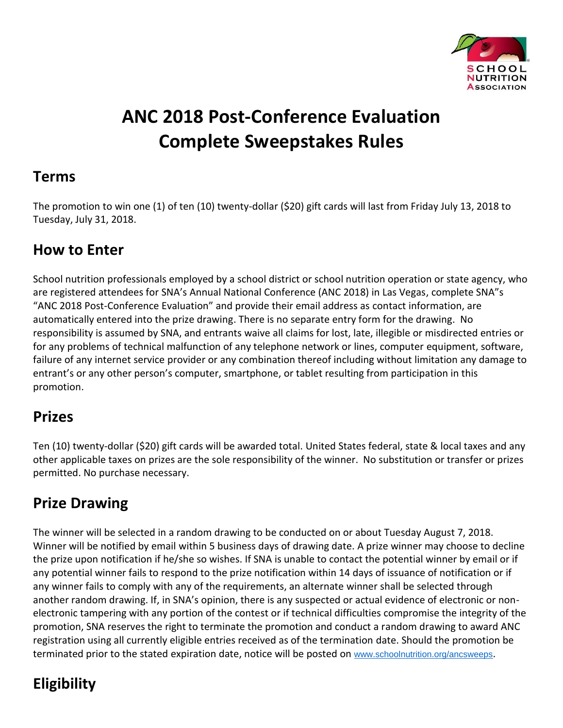

# **ANC 2018 Post-Conference Evaluation Complete Sweepstakes Rules**

#### **Terms**

The promotion to win one (1) of ten (10) twenty-dollar (\$20) gift cards will last from Friday July 13, 2018 to Tuesday, July 31, 2018.

### **How to Enter**

School nutrition professionals employed by a school district or school nutrition operation or state agency, who are registered attendees for SNA's Annual National Conference (ANC 2018) in Las Vegas, complete SNA"s "ANC 2018 Post-Conference Evaluation" and provide their email address as contact information, are automatically entered into the prize drawing. There is no separate entry form for the drawing. No responsibility is assumed by SNA, and entrants waive all claims for lost, late, illegible or misdirected entries or for any problems of technical malfunction of any telephone network or lines, computer equipment, software, failure of any internet service provider or any combination thereof including without limitation any damage to entrant's or any other person's computer, smartphone, or tablet resulting from participation in this promotion.

### **Prizes**

Ten (10) twenty-dollar (\$20) gift cards will be awarded total. United States federal, state & local taxes and any other applicable taxes on prizes are the sole responsibility of the winner. No substitution or transfer or prizes permitted. No purchase necessary.

## **Prize Drawing**

The winner will be selected in a random drawing to be conducted on or about Tuesday August 7, 2018. Winner will be notified by email within 5 business days of drawing date. A prize winner may choose to decline the prize upon notification if he/she so wishes. If SNA is unable to contact the potential winner by email or if any potential winner fails to respond to the prize notification within 14 days of issuance of notification or if any winner fails to comply with any of the requirements, an alternate winner shall be selected through another random drawing. If, in SNA's opinion, there is any suspected or actual evidence of electronic or nonelectronic tampering with any portion of the contest or if technical difficulties compromise the integrity of the promotion, SNA reserves the right to terminate the promotion and conduct a random drawing to award ANC registration using all currently eligible entries received as of the termination date. Should the promotion be terminated prior to the stated expiration date, notice will be posted on [www.schoolnutrition.org/ancsweeps](http://www.schoolnutrition.org/ancsweeps).

## **Eligibility**